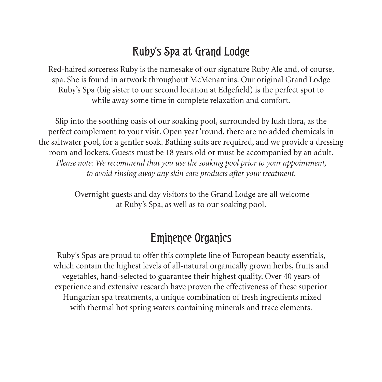# Ruby's Spa at Grand Lodge

Red-haired sorceress Ruby is the namesake of our signature Ruby Ale and, of course, spa. She is found in artwork throughout McMenamins. Our original Grand Lodge Ruby's Spa (big sister to our second location at Edgefield) is the perfect spot to while away some time in complete relaxation and comfort.

Slip into the soothing oasis of our soaking pool, surrounded by lush flora, as the perfect complement to your visit. Open year 'round, there are no added chemicals in the saltwater pool, for a gentler soak. Bathing suits are required, and we provide a dressing room and lockers. Guests must be 18 years old or must be accompanied by an adult. *Please note: We recommend that you use the soaking pool prior to your appointment, to avoid rinsing away any skin care products after your treatment.*

> Overnight guests and day visitors to the Grand Lodge are all welcome at Ruby's Spa, as well as to our soaking pool.

### Eminence Organics

Ruby's Spas are proud to offer this complete line of European beauty essentials, which contain the highest levels of all-natural organically grown herbs, fruits and vegetables, hand-selected to guarantee their highest quality. Over 40 years of experience and extensive research have proven the effectiveness of these superior Hungarian spa treatments, a unique combination of fresh ingredients mixed with thermal hot spring waters containing minerals and trace elements.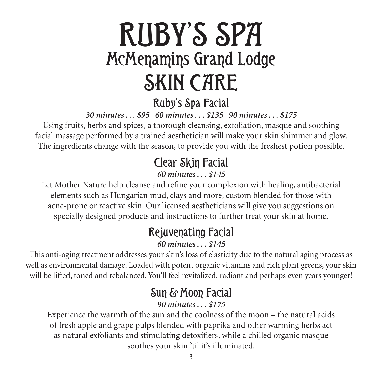# RUBY'S SPA McMenamins Grand Lodge SKIN CARE

### Ruby's Spa Facial

*30 minutes . . . \$95 60 minutes . . . \$135 90 minutes . . . \$175*

Using fruits, herbs and spices, a thorough cleansing, exfoliation, masque and soothing facial massage performed by a trained aesthetician will make your skin shimmer and glow. The ingredients change with the season, to provide you with the freshest potion possible.

# Clear Skin Facial

#### *60 minutes . . . \$145*

Let Mother Nature help cleanse and refine your complexion with healing, antibacterial elements such as Hungarian mud, clays and more, custom blended for those with acne-prone or reactive skin. Our licensed aestheticians will give you suggestions on specially designed products and instructions to further treat your skin at home.

# Rejuvenating Facial

#### *60 minutes . . . \$145*

This anti-aging treatment addresses your skin's loss of elasticity due to the natural aging process as well as environmental damage. Loaded with potent organic vitamins and rich plant greens, your skin will be lifted, toned and rebalanced. You'll feel revitalized, radiant and perhaps even years younger!

# Sun & Moon Facial

#### *90 minutes . . . \$175*

Experience the warmth of the sun and the coolness of the moon – the natural acids of fresh apple and grape pulps blended with paprika and other warming herbs act as natural exfoliants and stimulating detoxifiers, while a chilled organic masque soothes your skin 'til it's illuminated.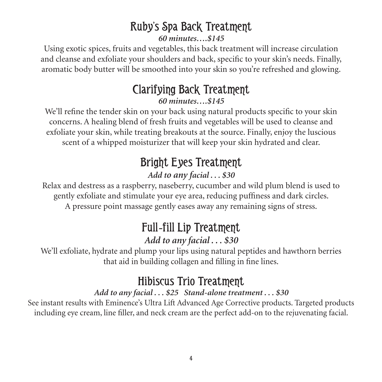# Ruby's Spa Back Treatment

*60 minutes….\$145*

Using exotic spices, fruits and vegetables, this back treatment will increase circulation and cleanse and exfoliate your shoulders and back, specific to your skin's needs. Finally, aromatic body butter will be smoothed into your skin so you're refreshed and glowing.

# Clarifying Back Treatment

*60 minutes….\$145*

We'll refine the tender skin on your back using natural products specific to your skin concerns. A healing blend of fresh fruits and vegetables will be used to cleanse and exfoliate your skin, while treating breakouts at the source. Finally, enjoy the luscious scent of a whipped moisturizer that will keep your skin hydrated and clear.

# Bright Eyes Treatment

#### *Add to any facial . . . \$30*

Relax and destress as a raspberry, naseberry, cucumber and wild plum blend is used to gently exfoliate and stimulate your eye area, reducing puffiness and dark circles. A pressure point massage gently eases away any remaining signs of stress.

### Full*-*fill Lip Treatment *Add to any facial . . . \$30*

We'll exfoliate, hydrate and plump your lips using natural peptides and hawthorn berries that aid in building collagen and filling in fine lines.

# Hibiscus Trio Treatment

#### *Add to any facial . . . \$25 Stand-alone treatment . . . \$30*

See instant results with Eminence's Ultra Lift Advanced Age Corrective products. Targeted products including eye cream, line filler, and neck cream are the perfect add-on to the rejuvenating facial.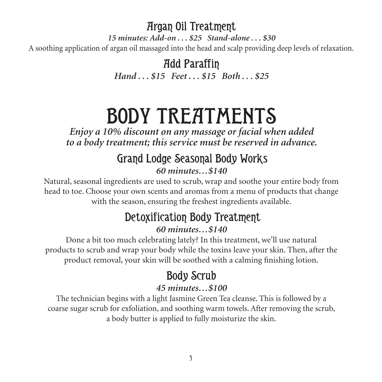### Argan Oil Treatment

*15 minutes: Add-on . . . \$25 Stand-alone . . . \$30* A soothing application of argan oil massaged into the head and scalp providing deep levels of relaxation.

> Add Paraffin *Hand . . . \$15 Feet . . . \$15 Both . . . \$25*

# BODY TREATMENTS

*Enjoy a 10% discount on any massage or facial when added to a body treatment; this service must be reserved in advance.* 

#### Grand Lodge Seasonal Body Works *60 minutes…\$140*

Natural, seasonal ingredients are used to scrub, wrap and soothe your entire body from head to toe. Choose your own scents and aromas from a menu of products that change with the season, ensuring the freshest ingredients available.

#### Detoxification Body Treatment *60 minutes…\$140*

Done a bit too much celebrating lately? In this treatment, we'll use natural products to scrub and wrap your body while the toxins leave your skin. Then, after the product removal, your skin will be soothed with a calming finishing lotion.

#### Body Scrub *45 minutes…\$100*

The technician begins with a light Jasmine Green Tea cleanse. This is followed by a coarse sugar scrub for exfoliation, and soothing warm towels. After removing the scrub, a body butter is applied to fully moisturize the skin.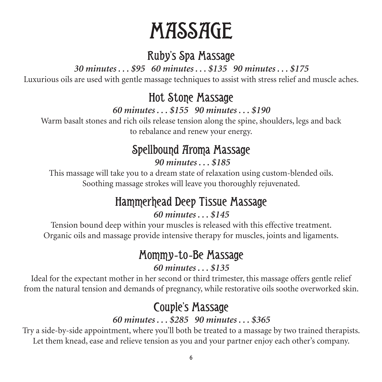# MASSAGE

### Ruby's Spa Massage

*30 minutes . . . \$95 60 minutes . . . \$135 90 minutes . . . \$175*

Luxurious oils are used with gentle massage techniques to assist with stress relief and muscle aches.

### Hot Stone Massage

*60 minutes . . . \$155 90 minutes . . . \$190*

Warm basalt stones and rich oils release tension along the spine, shoulders, legs and back to rebalance and renew your energy.

# Spellbound Aroma Massage

 *90 minutes . . . \$185*

This massage will take you to a dream state of relaxation using custom-blended oils. Soothing massage strokes will leave you thoroughly rejuvenated.

# Hammerhead Deep Tissue Massage

#### *60 minutes . . . \$145*

Tension bound deep within your muscles is released with this effective treatment. Organic oils and massage provide intensive therapy for muscles, joints and ligaments.

### Mommy*-*to*-*Be Massage

#### *60 minutes . . . \$135*

Ideal for the expectant mother in her second or third trimester, this massage offers gentle relief from the natural tension and demands of pregnancy, while restorative oils soothe overworked skin.

# Couple's Massage

#### *60 minutes . . . \$285 90 minutes . . . \$365*

Try a side-by-side appointment, where you'll both be treated to a massage by two trained therapists. Let them knead, ease and relieve tension as you and your partner enjoy each other's company.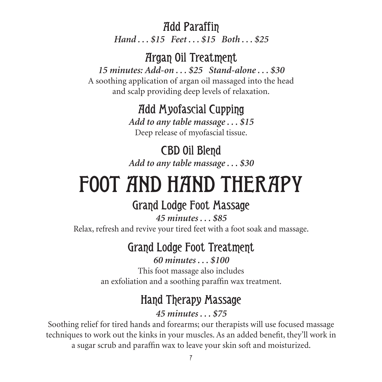Add Paraffin

*Hand . . . \$15 Feet . . . \$15 Both . . . \$25*

#### Argan Oil Treatment

*15 minutes: Add-on . . . \$25 Stand-alone . . . \$30* A soothing application of argan oil massaged into the head and scalp providing deep levels of relaxation.

#### Add Myofascial Cupping

*Add to any table massage . . . \$15* Deep release of myofascial tissue.

CBD Oil Blend *Add to any table massage . . . \$30*

# FOOT AND HAND THERAPY

#### Grand Lodge Foot Massage

*45 minutes . . . \$85* Relax, refresh and revive your tired feet with a foot soak and massage.

### Grand Lodge Foot Treatment

*60 minutes . . . \$100*

This foot massage also includes an exfoliation and a soothing paraffin wax treatment.

# Hand Therapy Massage

*45 minutes . . . \$75*

Soothing relief for tired hands and forearms; our therapists will use focused massage techniques to work out the kinks in your muscles. As an added benefit, they'll work in a sugar scrub and paraffin wax to leave your skin soft and moisturized.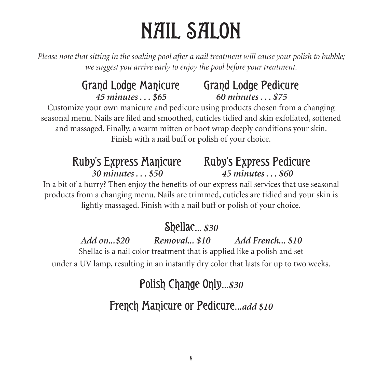# NAIL SALON

*Please note that sitting in the soaking pool after a nail treatment will cause your polish to bubble; we suggest you arrive early to enjoy the pool before your treatment.*

# Grand Lodge Manicure Grand Lodge Pedicure *45 minutes . . . \$65 60 minutes . . . \$75*

Customize your own manicure and pedicure using products chosen from a changing seasonal menu. Nails are filed and smoothed, cuticles tidied and skin exfoliated, softened and massaged. Finally, a warm mitten or boot wrap deeply conditions your skin. Finish with a nail buff or polish of your choice.

# Ruby's Express Manicure Ruby's Express Pedicure

# *30 minutes . . . \$50 45 minutes . . . \$60*

In a bit of a hurry? Then enjoy the benefits of our express nail services that use seasonal products from a changing menu. Nails are trimmed, cuticles are tidied and your skin is lightly massaged. Finish with a nail buff or polish of your choice.

# Shellac*... \$30*

### *Add on...\$20 Removal... \$10 Add French... \$10*

Shellac is a nail color treatment that is applied like a polish and set under a UV lamp, resulting in an instantly dry color that lasts for up to two weeks.

# Polish Change Only*...\$30*

# French Manicure or Pedicure*...add \$10*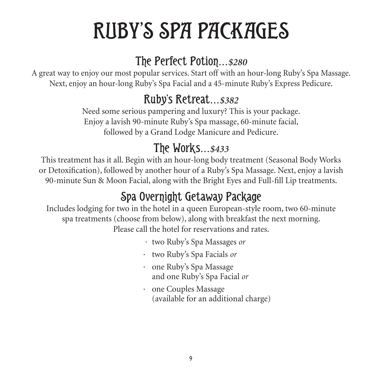# RUBY'S SPA PACKAGES

# The Perfect Potion*…\$280*

A great way to enjoy our most popular services. Start off with an hour-long Ruby's Spa Massage. Next, enjoy an hour-long Ruby's Spa Facial and a 45-minute Ruby's Express Pedicure.

### Ruby's Retreat*…\$382*

Need some serious pampering and luxury? This is your package. Enjoy a lavish 90-minute Ruby's Spa massage, 60-minute facial, followed by a Grand Lodge Manicure and Pedicure.

### The Works*…\$433*

This treatment has it all. Begin with an hour-long body treatment (Seasonal Body Works or Detoxification), followed by another hour of a Ruby's Spa Massage. Next, enjoy a lavish 90-minute Sun & Moon Facial, along with the Bright Eyes and Full-fill Lip treatments.

# Spa Overnight Getaway Package

Includes lodging for two in the hotel in a queen European-style room, two 60-minute spa treatments (choose from below), along with breakfast the next morning. Please call the hotel for reservations and rates.

- · two Ruby's Spa Massages *or*
- · two Ruby's Spa Facials *or*
- · one Ruby's Spa Massage and one Ruby's Spa Facial *or*
- · one Couples Massage (available for an additional charge)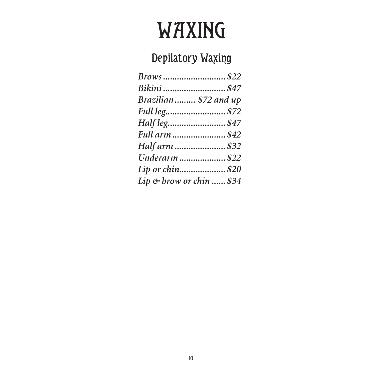# WAXING

# Depilatory Waxing

| Bikini  \$47             |
|--------------------------|
| Brazilian \$72 and up    |
| Full leg \$72            |
| Half leg\$47             |
| Full arm \$42            |
| Half arm  \$32           |
| Underarm  \$22           |
| Lip or chin\$20          |
| Lip & brow or chin  \$34 |
|                          |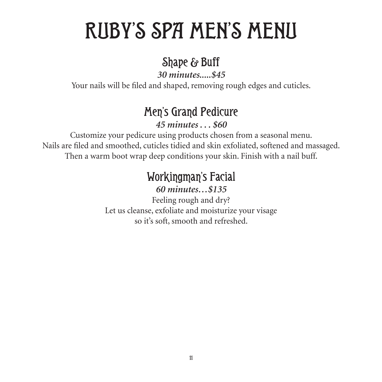# RUBY'S SPA MEN'S MENU

### Shape & Buff

*30 minutes.....\$45*

Your nails will be filed and shaped, removing rough edges and cuticles.

# Men's Grand Pedicure

*45 minutes . . . \$60*

Customize your pedicure using products chosen from a seasonal menu. Nails are filed and smoothed, cuticles tidied and skin exfoliated, softened and massaged. Then a warm boot wrap deep conditions your skin. Finish with a nail buff.

# Workingman's Facial

*60 minutes…\$135*

Feeling rough and dry? Let us cleanse, exfoliate and moisturize your visage so it's soft, smooth and refreshed.